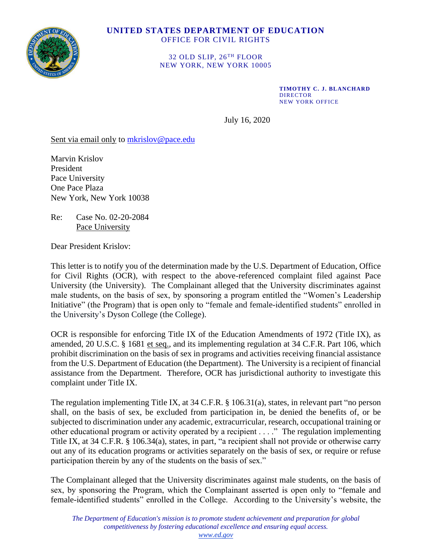

## **UNITED STATES DEPARTMENT OF EDUCATION** OFFICE FOR CIVIL RIGHTS

32 OLD SLIP, 26TH FLOOR NEW YORK, NEW YORK 10005

> **TIMOTHY C. J. BLANCHARD** DIRECTOR NEW YORK OFFICE

July 16, 2020

Sent via email only to [mkrislov@pace.edu](mailto:mkrislov@pace.edu)

Marvin Krislov President Pace University One Pace Plaza New York, New York 10038

Re: Case No. 02-20-2084 Pace University

Dear President Krislov:

This letter is to notify you of the determination made by the U.S. Department of Education, Office for Civil Rights (OCR), with respect to the above-referenced complaint filed against Pace University (the University). The Complainant alleged that the University discriminates against male students, on the basis of sex, by sponsoring a program entitled the "Women's Leadership Initiative" (the Program) that is open only to "female and female-identified students" enrolled in the University's Dyson College (the College).

OCR is responsible for enforcing Title IX of the Education Amendments of 1972 (Title IX), as amended, 20 U.S.C. § 1681 et seq., and its implementing regulation at 34 C.F.R. Part 106, which prohibit discrimination on the basis of sex in programs and activities receiving financial assistance from the U.S. Department of Education (the Department). The University is a recipient of financial assistance from the Department. Therefore, OCR has jurisdictional authority to investigate this complaint under Title IX.

The regulation implementing Title IX, at 34 C.F.R. § 106.31(a), states, in relevant part "no person shall, on the basis of sex, be excluded from participation in, be denied the benefits of, or be subjected to discrimination under any academic, extracurricular, research, occupational training or other educational program or activity operated by a recipient . . . ." The regulation implementing Title IX, at 34 C.F.R. § 106.34(a), states, in part, "a recipient shall not provide or otherwise carry out any of its education programs or activities separately on the basis of sex, or require or refuse participation therein by any of the students on the basis of sex."

The Complainant alleged that the University discriminates against male students, on the basis of sex, by sponsoring the Program, which the Complainant asserted is open only to "female and female-identified students" enrolled in the College. According to the University's website, the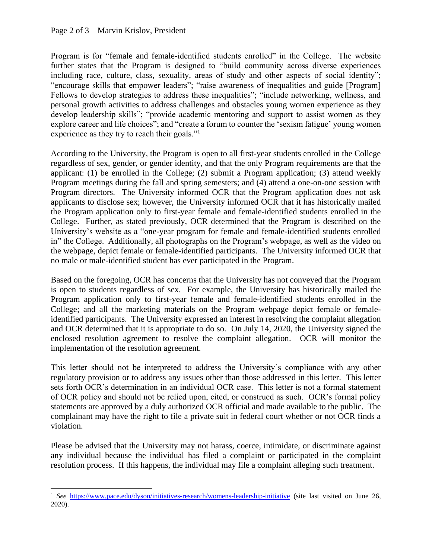Program is for "female and female-identified students enrolled" in the College. The website further states that the Program is designed to "build community across diverse experiences including race, culture, class, sexuality, areas of study and other aspects of social identity"; "encourage skills that empower leaders"; "raise awareness of inequalities and guide [Program] Fellows to develop strategies to address these inequalities"; "include networking, wellness, and personal growth activities to address challenges and obstacles young women experience as they develop leadership skills"; "provide academic mentoring and support to assist women as they explore career and life choices"; and "create a forum to counter the 'sexism fatigue' young women experience as they try to reach their goals."<sup>1</sup>

According to the University, the Program is open to all first-year students enrolled in the College regardless of sex, gender, or gender identity, and that the only Program requirements are that the applicant: (1) be enrolled in the College; (2) submit a Program application; (3) attend weekly Program meetings during the fall and spring semesters; and (4) attend a one-on-one session with Program directors. The University informed OCR that the Program application does not ask applicants to disclose sex; however, the University informed OCR that it has historically mailed the Program application only to first-year female and female-identified students enrolled in the College. Further, as stated previously, OCR determined that the Program is described on the University's website as a "one-year program for female and female-identified students enrolled in" the College. Additionally, all photographs on the Program's webpage, as well as the video on the webpage, depict female or female-identified participants. The University informed OCR that no male or male-identified student has ever participated in the Program.

Based on the foregoing, OCR has concerns that the University has not conveyed that the Program is open to students regardless of sex. For example, the University has historically mailed the Program application only to first-year female and female-identified students enrolled in the College; and all the marketing materials on the Program webpage depict female or femaleidentified participants. The University expressed an interest in resolving the complaint allegation and OCR determined that it is appropriate to do so. On July 14, 2020, the University signed the enclosed resolution agreement to resolve the complaint allegation. OCR will monitor the implementation of the resolution agreement.

This letter should not be interpreted to address the University's compliance with any other regulatory provision or to address any issues other than those addressed in this letter. This letter sets forth OCR's determination in an individual OCR case. This letter is not a formal statement of OCR policy and should not be relied upon, cited, or construed as such. OCR's formal policy statements are approved by a duly authorized OCR official and made available to the public. The complainant may have the right to file a private suit in federal court whether or not OCR finds a violation.

Please be advised that the University may not harass, coerce, intimidate, or discriminate against any individual because the individual has filed a complaint or participated in the complaint resolution process. If this happens, the individual may file a complaint alleging such treatment.

<sup>&</sup>lt;sup>1</sup> *See* <https://www.pace.edu/dyson/initiatives-research/womens-leadership-initiative> (site last visited on June 26, 2020).